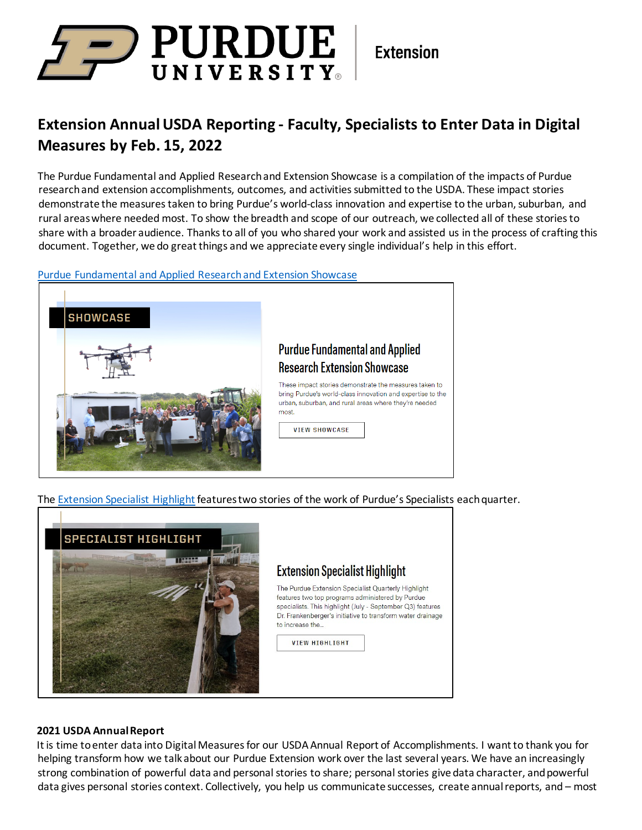# D PURDUE UNIVERSITY

**Extension** 

## **Extension Annual USDA Reporting - Faculty, Specialists to Enter Data in Digital Measures by Feb. 15, 2022**

The Purdue Fundamental and Applied Research and Extension Showcase is a compilation of the impacts of Purdue research and extension accomplishments, outcomes, and activities submitted to the USDA. These impact stories demonstrate the measures taken to bring Purdue's world-class innovation and expertise to the urban, suburban, and rural areas where needed most. To show the breadth and scope of our outreach, we collected all of these stories to share with a broader audience. Thanks to all of you who shared your work and assisted us in the process of crafting this document. Together, we do great things and we appreciate every single individual's help in this effort.

### [Purdue Fundamental and Applied Research and Extension Showcase](https://extension.purdue.edu/about/_docs/3-329-applied-research--ext-showcase-whitepaper.final.091621.pdf)



The [Extension Specialist](https://extension.purdue.edu/about/_docs/2021-q3---extension-specialist-quarterly-highlight-1.pdf) Highlight features two stories of the work of Purdue's Specialists each quarter.



### **2021 USDA Annual Report**

It is time to enter data into Digital Measures for our USDA Annual Report of Accomplishments. I want to thank you for helping transform how we talk about our Purdue Extension work over the last several years. We have an increasingly strong combination of powerful data and personal stories to share; personal stories give data character, and powerful data gives personal stories context. Collectively, you help us communicate successes, create annual reports, and – most